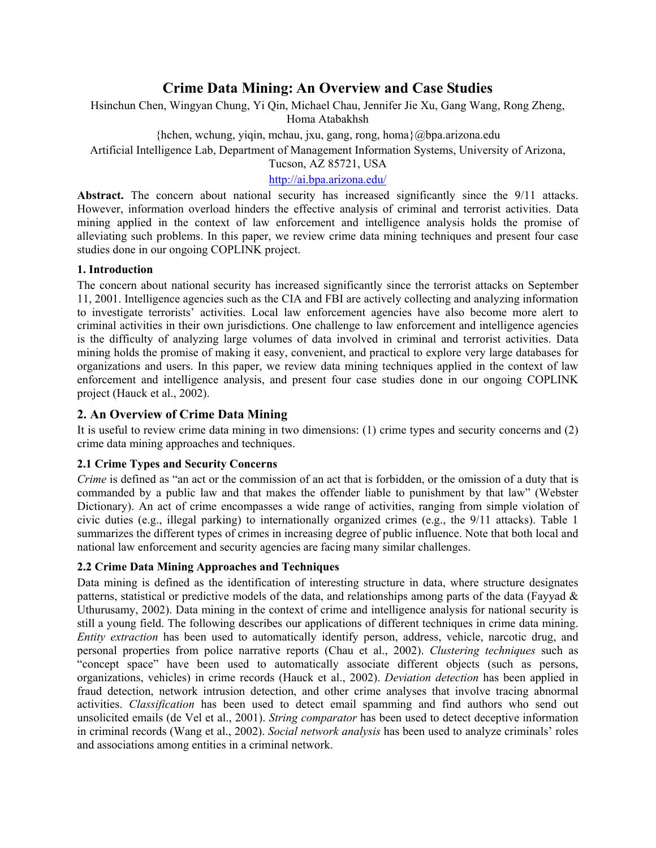# **Crime Data Mining: An Overview and Case Studies**

Hsinchun Chen, Wingyan Chung, Yi Qin, Michael Chau, Jennifer Jie Xu, Gang Wang, Rong Zheng, Homa Atabakhsh

{hchen, wchung, yiqin, mchau, jxu, gang, rong, homa}@bpa.arizona.edu

Artificial Intelligence Lab, Department of Management Information Systems, University of Arizona,

Tucson, AZ 85721, USA

## http://ai.bpa.arizona.edu/

Abstract. The concern about national security has increased significantly since the 9/11 attacks. However, information overload hinders the effective analysis of criminal and terrorist activities. Data mining applied in the context of law enforcement and intelligence analysis holds the promise of alleviating such problems. In this paper, we review crime data mining techniques and present four case studies done in our ongoing COPLINK project.

## **1. Introduction**

The concern about national security has increased significantly since the terrorist attacks on September 11, 2001. Intelligence agencies such as the CIA and FBI are actively collecting and analyzing information to investigate terrorists' activities. Local law enforcement agencies have also become more alert to criminal activities in their own jurisdictions. One challenge to law enforcement and intelligence agencies is the difficulty of analyzing large volumes of data involved in criminal and terrorist activities. Data mining holds the promise of making it easy, convenient, and practical to explore very large databases for organizations and users. In this paper, we review data mining techniques applied in the context of law enforcement and intelligence analysis, and present four case studies done in our ongoing COPLINK project (Hauck et al., 2002).

# **2. An Overview of Crime Data Mining**

It is useful to review crime data mining in two dimensions: (1) crime types and security concerns and (2) crime data mining approaches and techniques.

## **2.1 Crime Types and Security Concerns**

*Crime* is defined as "an act or the commission of an act that is forbidden, or the omission of a duty that is commanded by a public law and that makes the offender liable to punishment by that law" (Webster Dictionary). An act of crime encompasses a wide range of activities, ranging from simple violation of civic duties (e.g., illegal parking) to internationally organized crimes (e.g., the 9/11 attacks). Table 1 summarizes the different types of crimes in increasing degree of public influence. Note that both local and national law enforcement and security agencies are facing many similar challenges.

## **2.2 Crime Data Mining Approaches and Techniques**

Data mining is defined as the identification of interesting structure in data, where structure designates patterns, statistical or predictive models of the data, and relationships among parts of the data (Fayyad & Uthurusamy, 2002). Data mining in the context of crime and intelligence analysis for national security is still a young field. The following describes our applications of different techniques in crime data mining. *Entity extraction* has been used to automatically identify person, address, vehicle, narcotic drug, and personal properties from police narrative reports (Chau et al., 2002). *Clustering techniques* such as "concept space" have been used to automatically associate different objects (such as persons, organizations, vehicles) in crime records (Hauck et al., 2002). *Deviation detection* has been applied in fraud detection, network intrusion detection, and other crime analyses that involve tracing abnormal activities. *Classification* has been used to detect email spamming and find authors who send out unsolicited emails (de Vel et al., 2001). *String comparator* has been used to detect deceptive information in criminal records (Wang et al., 2002). *Social network analysis* has been used to analyze criminals' roles and associations among entities in a criminal network.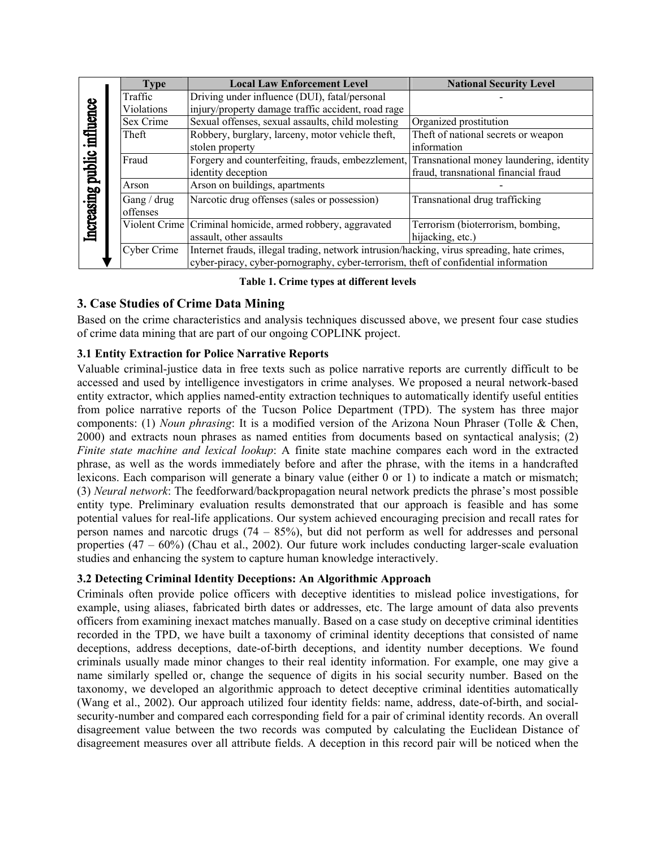| Increasing public influence | <b>Type</b> | <b>Local Law Enforcement Level</b>                                                         | <b>National Security Level</b>           |
|-----------------------------|-------------|--------------------------------------------------------------------------------------------|------------------------------------------|
|                             | Traffic     | Driving under influence (DUI), fatal/personal                                              |                                          |
|                             | Violations  | injury/property damage traffic accident, road rage                                         |                                          |
|                             | Sex Crime   | Sexual offenses, sexual assaults, child molesting                                          | Organized prostitution                   |
|                             | Theft       | Robbery, burglary, larceny, motor vehicle theft,                                           | Theft of national secrets or weapon      |
|                             |             | stolen property                                                                            | information                              |
|                             | Fraud       | Forgery and counterfeiting, frauds, embezzlement,                                          | Transnational money laundering, identity |
|                             |             | identity deception                                                                         | fraud, transnational financial fraud     |
|                             | Arson       | Arson on buildings, apartments                                                             |                                          |
|                             | Gang / drug | Narcotic drug offenses (sales or possession)                                               | Transnational drug trafficking           |
|                             | offenses    |                                                                                            |                                          |
|                             |             | Violent Crime Criminal homicide, armed robbery, aggravated                                 | Terrorism (bioterrorism, bombing,        |
|                             |             | assault, other assaults                                                                    | hijacking, etc.)                         |
|                             | Cyber Crime | Internet frauds, illegal trading, network intrusion/hacking, virus spreading, hate crimes, |                                          |
|                             |             | cyber-piracy, cyber-pornography, cyber-terrorism, theft of confidential information        |                                          |

#### **Table 1. Crime types at different levels**

# **3. Case Studies of Crime Data Mining**

Based on the crime characteristics and analysis techniques discussed above, we present four case studies of crime data mining that are part of our ongoing COPLINK project.

## **3.1 Entity Extraction for Police Narrative Reports**

Valuable criminal-justice data in free texts such as police narrative reports are currently difficult to be accessed and used by intelligence investigators in crime analyses. We proposed a neural network-based entity extractor, which applies named-entity extraction techniques to automatically identify useful entities from police narrative reports of the Tucson Police Department (TPD). The system has three major components: (1) *Noun phrasing*: It is a modified version of the Arizona Noun Phraser (Tolle & Chen, 2000) and extracts noun phrases as named entities from documents based on syntactical analysis; (2) *Finite state machine and lexical lookup*: A finite state machine compares each word in the extracted phrase, as well as the words immediately before and after the phrase, with the items in a handcrafted lexicons. Each comparison will generate a binary value (either  $\hat{0}$  or 1) to indicate a match or mismatch; (3) *Neural network*: The feedforward/backpropagation neural network predicts the phrase's most possible entity type. Preliminary evaluation results demonstrated that our approach is feasible and has some potential values for real-life applications. Our system achieved encouraging precision and recall rates for person names and narcotic drugs  $(74 - 85\%)$ , but did not perform as well for addresses and personal properties (47 – 60%) (Chau et al., 2002). Our future work includes conducting larger-scale evaluation studies and enhancing the system to capture human knowledge interactively.

#### **3.2 Detecting Criminal Identity Deceptions: An Algorithmic Approach**

Criminals often provide police officers with deceptive identities to mislead police investigations, for example, using aliases, fabricated birth dates or addresses, etc. The large amount of data also prevents officers from examining inexact matches manually. Based on a case study on deceptive criminal identities recorded in the TPD, we have built a taxonomy of criminal identity deceptions that consisted of name deceptions, address deceptions, date-of-birth deceptions, and identity number deceptions. We found criminals usually made minor changes to their real identity information. For example, one may give a name similarly spelled or, change the sequence of digits in his social security number. Based on the taxonomy, we developed an algorithmic approach to detect deceptive criminal identities automatically (Wang et al., 2002). Our approach utilized four identity fields: name, address, date-of-birth, and socialsecurity-number and compared each corresponding field for a pair of criminal identity records. An overall disagreement value between the two records was computed by calculating the Euclidean Distance of disagreement measures over all attribute fields. A deception in this record pair will be noticed when the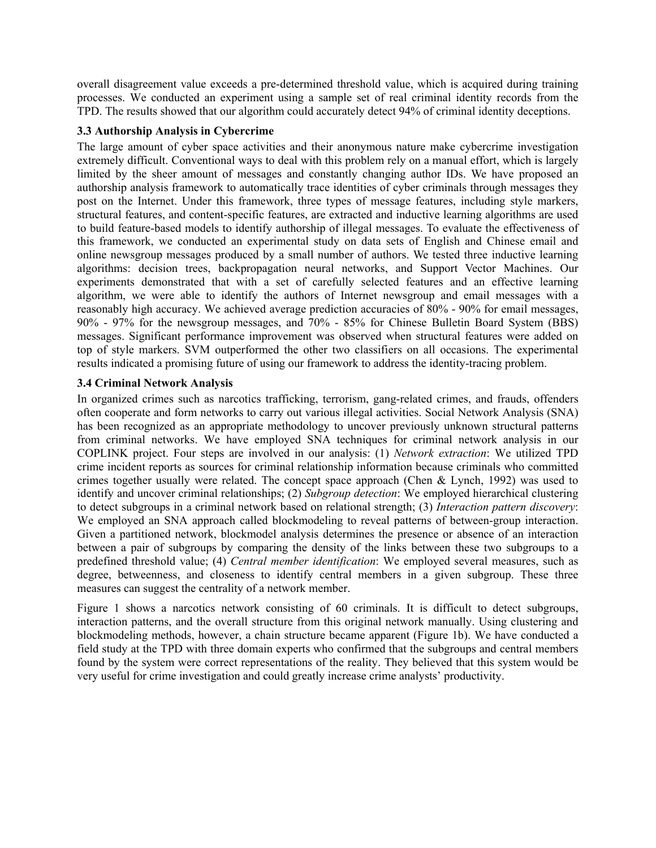overall disagreement value exceeds a pre-determined threshold value, which is acquired during training processes. We conducted an experiment using a sample set of real criminal identity records from the TPD. The results showed that our algorithm could accurately detect 94% of criminal identity deceptions.

#### **3.3 Authorship Analysis in Cybercrime**

The large amount of cyber space activities and their anonymous nature make cybercrime investigation extremely difficult. Conventional ways to deal with this problem rely on a manual effort, which is largely limited by the sheer amount of messages and constantly changing author IDs. We have proposed an authorship analysis framework to automatically trace identities of cyber criminals through messages they post on the Internet. Under this framework, three types of message features, including style markers, structural features, and content-specific features, are extracted and inductive learning algorithms are used to build feature-based models to identify authorship of illegal messages. To evaluate the effectiveness of this framework, we conducted an experimental study on data sets of English and Chinese email and online newsgroup messages produced by a small number of authors. We tested three inductive learning algorithms: decision trees, backpropagation neural networks, and Support Vector Machines. Our experiments demonstrated that with a set of carefully selected features and an effective learning algorithm, we were able to identify the authors of Internet newsgroup and email messages with a reasonably high accuracy. We achieved average prediction accuracies of 80% - 90% for email messages, 90% - 97% for the newsgroup messages, and 70% - 85% for Chinese Bulletin Board System (BBS) messages. Significant performance improvement was observed when structural features were added on top of style markers. SVM outperformed the other two classifiers on all occasions. The experimental results indicated a promising future of using our framework to address the identity-tracing problem.

## **3.4 Criminal Network Analysis**

In organized crimes such as narcotics trafficking, terrorism, gang-related crimes, and frauds, offenders often cooperate and form networks to carry out various illegal activities. Social Network Analysis (SNA) has been recognized as an appropriate methodology to uncover previously unknown structural patterns from criminal networks. We have employed SNA techniques for criminal network analysis in our COPLINK project. Four steps are involved in our analysis: (1) *Network extraction*: We utilized TPD crime incident reports as sources for criminal relationship information because criminals who committed crimes together usually were related. The concept space approach (Chen & Lynch, 1992) was used to identify and uncover criminal relationships; (2) *Subgroup detection*: We employed hierarchical clustering to detect subgroups in a criminal network based on relational strength; (3) *Interaction pattern discovery*: We employed an SNA approach called blockmodeling to reveal patterns of between-group interaction. Given a partitioned network, blockmodel analysis determines the presence or absence of an interaction between a pair of subgroups by comparing the density of the links between these two subgroups to a predefined threshold value; (4) *Central member identification*: We employed several measures, such as degree, betweenness, and closeness to identify central members in a given subgroup. These three measures can suggest the centrality of a network member.

Figure 1 shows a narcotics network consisting of 60 criminals. It is difficult to detect subgroups, interaction patterns, and the overall structure from this original network manually. Using clustering and blockmodeling methods, however, a chain structure became apparent (Figure 1b). We have conducted a field study at the TPD with three domain experts who confirmed that the subgroups and central members found by the system were correct representations of the reality. They believed that this system would be very useful for crime investigation and could greatly increase crime analysts' productivity.